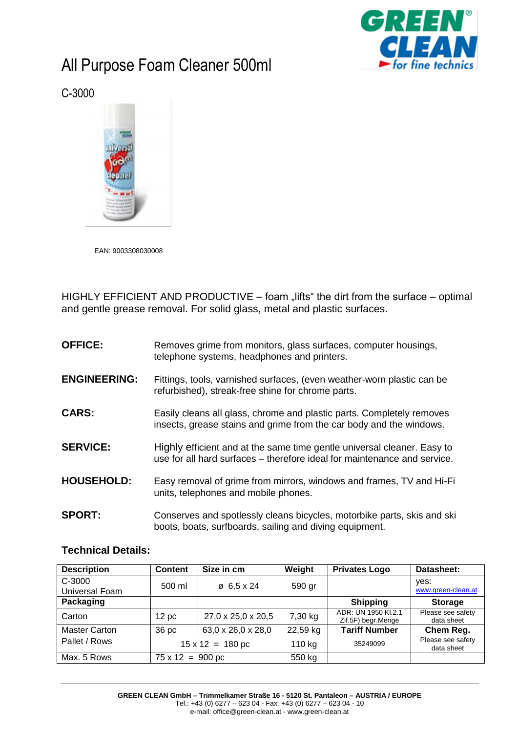## All Purpose Foam Cleaner 500ml



C-3000



EAN: 9003308030008

HIGHLY EFFICIENT AND PRODUCTIVE – foam "lifts" the dirt from the surface – optimal and gentle grease removal. For solid glass, metal and plastic surfaces.

| <b>OFFICE:</b>      | Removes grime from monitors, glass surfaces, computer housings,<br>telephone systems, headphones and printers.                                      |
|---------------------|-----------------------------------------------------------------------------------------------------------------------------------------------------|
| <b>ENGINEERING:</b> | Fittings, tools, varnished surfaces, (even weather-worn plastic can be<br>refurbished), streak-free shine for chrome parts.                         |
| <b>CARS:</b>        | Easily cleans all glass, chrome and plastic parts. Completely removes<br>insects, grease stains and grime from the car body and the windows.        |
| <b>SERVICE:</b>     | Highly efficient and at the same time gentle universal cleaner. Easy to<br>use for all hard surfaces – therefore ideal for maintenance and service. |
| <b>HOUSEHOLD:</b>   | Easy removal of grime from mirrors, windows and frames, TV and Hi-Fi<br>units, telephones and mobile phones.                                        |
| <b>SPORT:</b>       | Conserves and spotlessly cleans bicycles, motorbike parts, skis and ski<br>boots, boats, surfboards, sailing and diving equipment.                  |

## **Technical Details:**

| <b>Description</b>       | <b>Content</b>                  | Size in cm             | Weight   | <b>Privates Logo</b>                      | Datasheet:                      |
|--------------------------|---------------------------------|------------------------|----------|-------------------------------------------|---------------------------------|
| C-3000<br>Universal Foam | 500 ml                          | $\varnothing$ 6,5 x 24 | 590 gr   |                                           | yes:<br>www.green-clean.at      |
| Packaging                |                                 |                        |          | <b>Shipping</b>                           | <b>Storage</b>                  |
| Carton                   | 12 <sub>p</sub> c               | 27,0 x 25,0 x 20,5     | 7,30 kg  | ADR: UN 1950 KI.2.1<br>Zif.5F) begr.Menge | Please see safety<br>data sheet |
| <b>Master Carton</b>     | 36 pc                           | 63,0 x 26,0 x 28,0     | 22,59 kg | <b>Tariff Number</b>                      | Chem Reg.                       |
| Pallet / Rows            | $15 \times 12 = 180 \text{ pc}$ |                        | 110 kg   | 35249099                                  | Please see safety<br>data sheet |
| Max. 5 Rows              | $75 \times 12 = 900 \text{ pc}$ |                        | 550 kg   |                                           |                                 |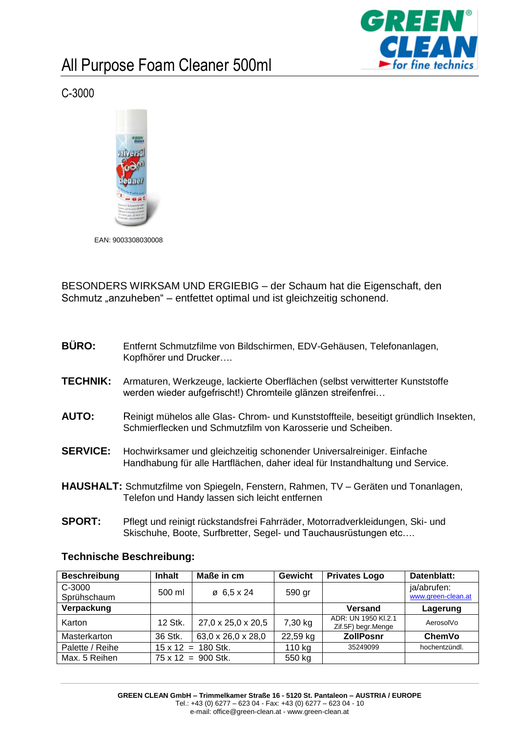

## All Purpose Foam Cleaner 500ml

C-3000



EAN: 9003308030008

BESONDERS WIRKSAM UND ERGIEBIG – der Schaum hat die Eigenschaft, den Schmutz "anzuheben" – entfettet optimal und ist gleichzeitig schonend.

- **BÜRO:** Entfernt Schmutzfilme von Bildschirmen, EDV-Gehäusen, Telefonanlagen, Kopfhörer und Drucker….
- **TECHNIK:** Armaturen, Werkzeuge, lackierte Oberflächen (selbst verwitterter Kunststoffe werden wieder aufgefrischt!) Chromteile glänzen streifenfrei…
- **AUTO:** Reinigt mühelos alle Glas- Chrom- und Kunststoffteile, beseitigt gründlich Insekten, Schmierflecken und Schmutzfilm von Karosserie und Scheiben.
- **SERVICE:** Hochwirksamer und gleichzeitig schonender Universalreiniger. Einfache Handhabung für alle Hartflächen, daher ideal für Instandhaltung und Service.
- **HAUSHALT:** Schmutzfilme von Spiegeln, Fenstern, Rahmen, TV Geräten und Tonanlagen, Telefon und Handy lassen sich leicht entfernen
- **SPORT:** Pflegt und reinigt rückstandsfrei Fahrräder, Motorradverkleidungen, Ski- und Skischuhe, Boote, Surfbretter, Segel- und Tauchausrüstungen etc….

| <b>Beschreibung</b> | <b>Inhalt</b>             | Maße in cm             | <b>Gewicht</b> | <b>Privates Logo</b>                      | Datenblatt:        |
|---------------------|---------------------------|------------------------|----------------|-------------------------------------------|--------------------|
| $C-3000$            | 500 ml                    | $\varnothing$ 6,5 x 24 | 590 gr         |                                           | ja/abrufen:        |
| Sprühschaum         |                           |                        |                |                                           | www.green-clean.at |
| Verpackung          |                           |                        |                | <b>Versand</b>                            | Lagerung           |
| Karton              | 12 Stk.                   | 27,0 x 25,0 x 20,5     | 7,30 kg        | ADR: UN 1950 KI.2.1<br>Zif.5F) begr.Menge | AerosolVo          |
| Masterkarton        | 36 Stk.                   | 63,0 x 26,0 x 28,0     | 22,59 kg       | <b>ZollPosnr</b>                          | <b>ChemVo</b>      |
| Palette / Reihe     | $15 \times 12 = 180$ Stk. |                        | 110 kg         | 35249099                                  | hochentzündl.      |
| Max. 5 Reihen       | $75 \times 12 = 900$ Stk. |                        | 550 kg         |                                           |                    |

## **Technische Beschreibung:**